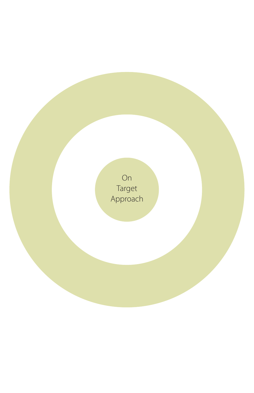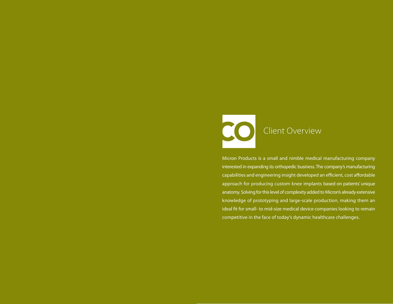

Micron Products is a small and nimble medical manufacturing company interested in expanding its orthopedic business. The company's manufacturing capabilities and engineering insight developed an efficient, cost affordable approach for producing custom knee implants based on patients' unique anatomy. Solving for this level of complexity added to Micron's already extensive knowledge of prototyping and large-scale production, making them an ideal fit for small- to mid-size medical device companies looking to remain competitive in the face of today's dynamic healthcare challenges.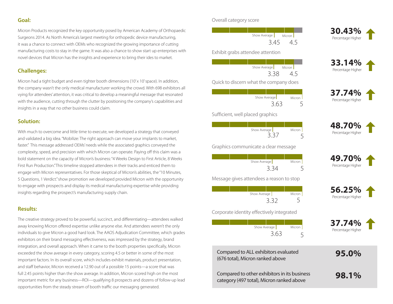**Goal:**

Micron Products recognized the key opportunity posed by American Academy of Orthopaedic Surgeons 2014. As North America's largest meeting for orthopedic device manufacturing, it was a chance to connect with OEMs who recognized the growing importance of cutting manufacturing costs to stay in the game. It was also a chance to show start up enterprises with novel devices that Micron has the insights and experience to bring their ides to market.

## **Challenges:**

Micron had a tight budget and even tighter booth dimensions (10'x 10' space). In addition, the company wasn't the only medical manufacturer working the crowd. With 698 exhibitors all vying for attendees' attention, it was critical to develop a meaningful message that resonated with the audience, cutting through the clutter by positioning the company's capabilities and insights in a way that no other business could claim.

## **Solution:**

With much to overcome and little time to execute, we developed a strategy that conveyed and validated a big idea. "Mobilize: The right approach can move your implants to market, faster." This message addressed OEMs' needs while the associated graphics conveyed the complexity, speed, and precision with which Micron can operate. Paying off this claim was a bold statement on the capacity of Micron's business: "4 Weeks Design to First Article, 8 Weeks First Run Production." This timeline stopped attendees in their tracks and enticed them to engage with Micron representatives. For those skeptical of Micron's abilities, the "10 Minutes, 5 Questions, 1 Verdict." show promotion we developed provided Micron with the opportunity to engage with prospects and display its medical manufacturing expertise while providing insights regarding the prospect's manufacturing supply chain.

## **Results:**

The creative strategy proved to be powerful, succinct, and differentiating—attendees walked away knowing Micron offered expertise unlike anyone else. And attendees weren't the only individuals to give Micron a good hard look. The AAOS Adjudication Committee, which grades exhibitors on their brand messaging effectiveness, was impressed by the strategy, brand integration, and overall approach. When it came to the booth properties specifically, Micron exceeded the show average in every category, scoring 4.5 or better in some of the most important factors. In its overall score, which includes exhibit materials, product presentation, and staff behavior, Micron received a 12.90 out of a possible 15 points—a score that was full 2.45 points higher than the show average. In addition, Micron scored high on the most important metric for any business—ROI—qualifying 8 prospects and dozens of follow-up lead opportunities from the steady stream of booth traffic our messaging generated.

Overall category score

| Show Average |      | Micron |  |
|--------------|------|--------|--|
|              | 3.45 | ∠⊥ '   |  |

Exhibit grabs attendee attention

| Show Average |  | Micron I |    |  |  |  |
|--------------|--|----------|----|--|--|--|
| 3.38         |  |          | 45 |  |  |  |

Quick to discern what the company does

| Show Average | Micron |
|--------------|--------|
| 3.63         |        |
|              |        |

Sufficient, well placed graphics

|  | Show Average |  | Micron |  |
|--|--------------|--|--------|--|
|  |              |  |        |  |

Graphics communicate a clear message

|  | Show Average |      | Micron |
|--|--------------|------|--------|
|  |              | 3.34 |        |

Message gives attendees a reason to stop

|  | Show Average |     | Micron |
|--|--------------|-----|--------|
|  |              | ママン |        |

Corporate identity effectively integrated

|  | Show Average |      | Micron |  |
|--|--------------|------|--------|--|
|  |              | 3.63 |        |  |

Compared to ALL exhibitors evaluated (676 total), Micron ranked above

Compared to other exhibitors in its business category (497 total), Micron ranked above



**33.14%** Percentage Higher

**37.74%** Percentage Higher

**48.70%** Percentage Higher

**49.70%** Percentage Higher

**56.25%** Percentage Higher

**37.74%** Percentage Higher

 **95.0%**

**98.1%**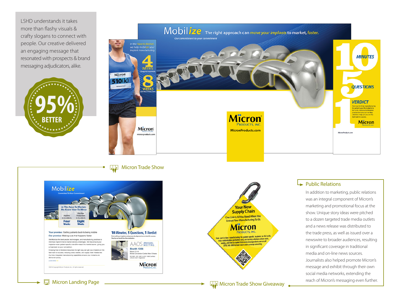LSHD understands it takes more than flashy visuals & crafty slogans to connect with people. Our creative delivered an engaging message that resonated with prospects & brand messaging adjudicators, alike.





**HAD** Micron Trade Show





## $\rightarrow$  Public Relations

In addition to marketing, public relations was an integral component of Micron's marketing and promotional focus at the show. Unique story ideas were pitched to a dozen targeted trade media outlets and a news release was distributed to the trade press, as well as issued over a newswire to broader audiences, resulting in significant coverage in traditional media and on-line news sources. Journalists also helped promote Micron's message and exhibit through their own social media networks, extending the reach of Micron's messaging even further.